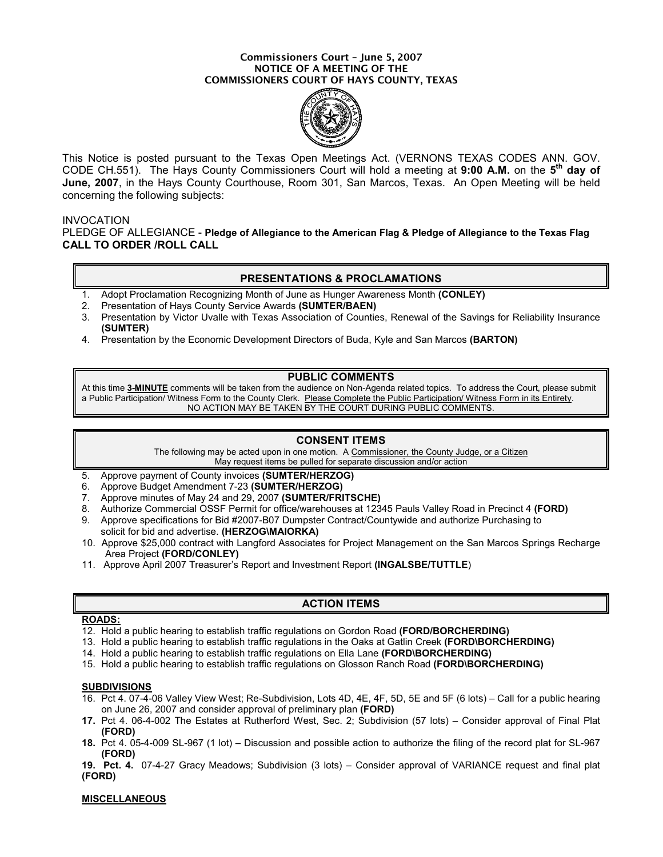#### Commissioners Court – June 5, 2007 NOTICE OF A MEETING OF THE COMMISSIONERS COURT OF HAYS COUNTY, TEXAS



This Notice is posted pursuant to the Texas Open Meetings Act. (VERNONS TEXAS CODES ANN. GOV. CODE CH.551). The Hays County Commissioners Court will hold a meeting at 9:00 A.M. on the 5<sup>th</sup> day of June, 2007, in the Hays County Courthouse, Room 301, San Marcos, Texas. An Open Meeting will be held concerning the following subjects:

# INVOCATION

PLEDGE OF ALLEGIANCE - Pledge of Allegiance to the American Flag & Pledge of Allegiance to the Texas Flag CALL TO ORDER /ROLL CALL

# PRESENTATIONS & PROCLAMATIONS

- 1. Adopt Proclamation Recognizing Month of June as Hunger Awareness Month (CONLEY)
- 2. Presentation of Hays County Service Awards (SUMTER/BAEN)
- 3. Presentation by Victor Uvalle with Texas Association of Counties, Renewal of the Savings for Reliability Insurance (SUMTER)
- 4. Presentation by the Economic Development Directors of Buda, Kyle and San Marcos (BARTON)

# PUBLIC COMMENTS

At this time 3-MINUTE comments will be taken from the audience on Non-Agenda related topics. To address the Court, please submit a Public Participation/ Witness Form to the County Clerk. Please Complete the Public Participation/ Witness Form in its Entirety. NO ACTION MAY BE TAKEN BY THE COURT DURING PUBLIC COMMENTS.

# CONSENT ITEMS

The following may be acted upon in one motion. A Commissioner, the County Judge, or a Citizen May request items be pulled for separate discussion and/or action

- 5. Approve payment of County invoices (SUMTER/HERZOG)
- 6. Approve Budget Amendment 7-23 (SUMTER/HERZOG)
- 7. Approve minutes of May 24 and 29, 2007 (SUMTER/FRITSCHE)
- 8. Authorize Commercial OSSF Permit for office/warehouses at 12345 Pauls Valley Road in Precinct 4 (FORD)
- 9. Approve specifications for Bid #2007-B07 Dumpster Contract/Countywide and authorize Purchasing to solicit for bid and advertise. (HERZOG\MAIORKA)
- 10. Approve \$25,000 contract with Langford Associates for Project Management on the San Marcos Springs Recharge Area Project (FORD/CONLEY)
- 11. Approve April 2007 Treasurer's Report and Investment Report (INGALSBE/TUTTLE)

# ACTION ITEMS

# ROADS:

- 12. Hold a public hearing to establish traffic regulations on Gordon Road (FORD/BORCHERDING)
- 13. Hold a public hearing to establish traffic regulations in the Oaks at Gatlin Creek (FORD\BORCHERDING)
- 14. Hold a public hearing to establish traffic regulations on Ella Lane (FORD\BORCHERDING)
- 15. Hold a public hearing to establish traffic regulations on Glosson Ranch Road (FORD\BORCHERDING)

#### SUBDIVISIONS

- 16. Pct 4. 07-4-06 Valley View West; Re-Subdivision, Lots 4D, 4E, 4F, 5D, 5E and 5F (6 lots) Call for a public hearing on June 26, 2007 and consider approval of preliminary plan (FORD)
- 17. Pct 4. 06-4-002 The Estates at Rutherford West, Sec. 2; Subdivision (57 lots) Consider approval of Final Plat (FORD)
- 18. Pct 4. 05-4-009 SL-967 (1 lot) Discussion and possible action to authorize the filing of the record plat for SL-967 (FORD)

#### **MISCELLANEOUS**

<sup>19.</sup> Pct. 4. 07-4-27 Gracy Meadows; Subdivision (3 lots) – Consider approval of VARIANCE request and final plat (FORD)